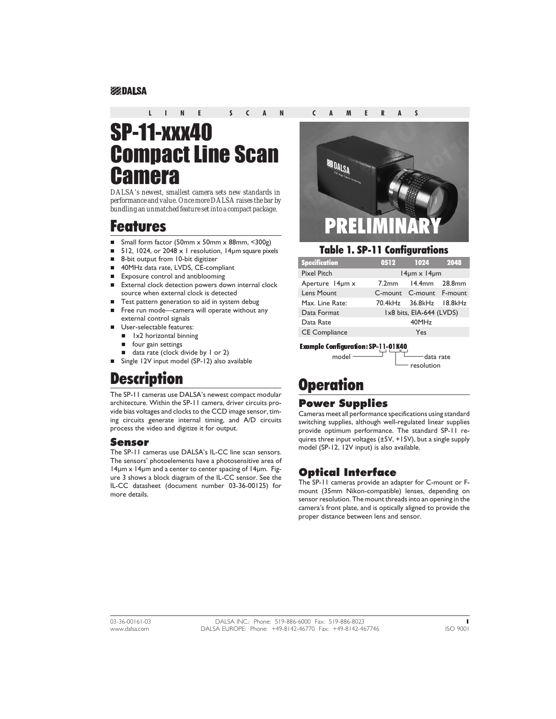#### **EEDALSA**

#### **LINE SCAN CAMERAS**

# SP-11-xxx40 Compact Line Scan **Camera**

*DALSA's newest, smallest camera sets new standards in performance and value. Once more DALSA raises the bar by bundling an unmatched feature set into a compact package.*

### Features

- nSmall form factor (50mm x 50mm x 88mm, <300g)
- n512, 1024, or 2048 x 1 resolution, 14um square pixels
- n8-bit output from 10-bit digitizer
- n40MHz data rate, LVDS, CE-compliant
- nExposure control and antiblooming
- n External clock detection powers down internal clock source when external clock is detected
- nTest pattern generation to aid in system debug
- n Free run mode—camera will operate without any external control signals
- n User-selectable features:
	- n 1x2 horizontal binning
	- **n** four gain settings
	- data rate (clock divide by 1 or 2)
- Single 12V input model (SP-12) also available

## **Description**

The SP-11 cameras use DALSA's newest compact modular architecture. Within the SP-11 camera, driver circuits provide bias voltages and clocks to the CCD image sensor, timing circuits generate internal timing, and A/D circuits process the video and digitize it for output.

#### Sensor

The SP-11 cameras use DALSA's IL-CC line scan sensors. The sensors' photoelements have a photosensitive area of 14µm x 14µm and a center to center spacing of 14µm. Figure 3 shows a block diagram of the IL-CC sensor. See the IL-CC datasheet (document number 03-36-00125) for more details.



#### Table 1. SP-11 Configurations

| <b>Specification</b> | 0512                       | 1024                     | 2048 |  |  |
|----------------------|----------------------------|--------------------------|------|--|--|
| <b>Pixel Pitch</b>   | $14 \mu m \times 14 \mu m$ |                          |      |  |  |
| Aperture 14um x      | $7.2$ mm                   | $14.4$ mm $28.8$ mm      |      |  |  |
| Lens Mount           |                            | C-mount C-mount F-mount  |      |  |  |
| Max. Line Rate:      |                            | 70.4kHz 36.8kHz 18.8kHz  |      |  |  |
| Data Format          |                            | Ix8 bits, EIA-644 (LVDS) |      |  |  |
| Data Rate            |                            | 40MHz                    |      |  |  |
| <b>CE Compliance</b> |                            | Yes                      |      |  |  |

Example Configuration: SP-11-01K40

 $model$   $\longrightarrow$   $\downarrow$   $\longrightarrow$  data rate resolution

## **Operation**

#### Power Supplies

Cameras meet all performance specifications using standard switching supplies, although well-regulated linear supplies provide optimum performance. The standard SP-11 requires three input voltages (±5V, +15V), but a single supply model (SP-12, 12V input) is also available.

### Optical Interface

The SP-11 cameras provide an adapter for C-mount or Fmount (35mm Nikon-compatible) lenses, depending on sensor resolution. The mount threads into an opening in the camera's front plate, and is optically aligned to provide the proper distance between lens and sensor.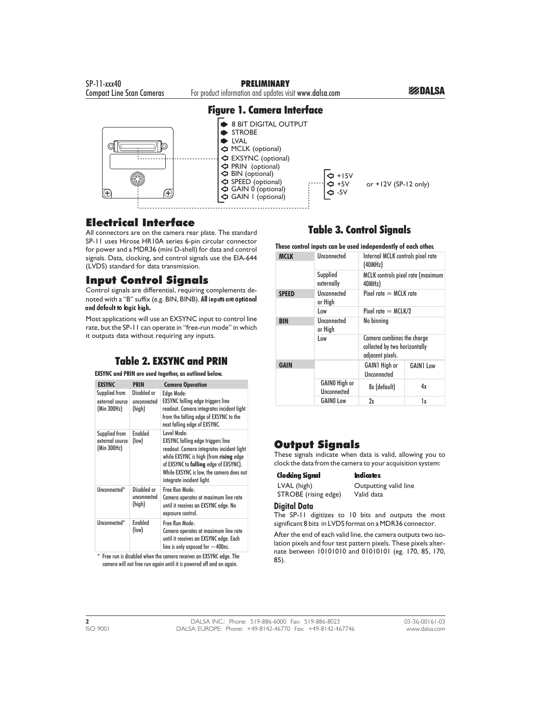

### Electrical Interface

All connectors are on the camera rear plate. The standard SP-11 uses Hirose HR10A series 6-pin circular connector for power and a MDR36 (mini D-shell) for data and control signals. Data, clocking, and control signals use the EIA-644 (LVDS) standard for data transmission.

### Input Control Signals

Control signals are differential, requiring complements denoted with a "B" suffix (e.g. BIN, BINB). All inputs are optional and default to logic high.

Most applications will use an EXSYNC input to control line rate, but the SP-11 can operate in "free-run mode" in which it outputs data without requiring any inputs.

### Table 2. EXSYNC and PRIN

#### **EXSYNC and PRIN are used together, as outlined below.**

| <b>EXSYNC</b>                                   | <b>PRIN</b>                          | <b>Camera Operation</b>                                                                                                                                                                                                                                          |
|-------------------------------------------------|--------------------------------------|------------------------------------------------------------------------------------------------------------------------------------------------------------------------------------------------------------------------------------------------------------------|
| Supplied from<br>external source<br>(Min 300Hz) | Disabled or<br>unconnected<br>(high) | Edge Mode:<br><b>EXSYNC</b> falling edge triggers line<br>readout. Camera integrates incident light<br>from the falling edge of EXSYNC to the<br>next falling edge of EXSYNC.                                                                                    |
| Supplied from<br>external source<br>(Min 300Hz) | <b>Fnabled</b><br>(low)              | Level Mode:<br><b>EXSYNC</b> falling edge triggers line<br>readout. Camera integrates incident light<br>while EXSYNC is high (from rising edge<br>of EXSYNC to falling edge of EXSYNC).<br>While EXSYNC is low, the camera does not<br>integrate incident light. |
| Unconnected*                                    | Disabled or<br>unconnected<br>(high) | Free Run Mode-<br>Camera operates at maximum line rate<br>until it receives an EXSYNC edge. No<br>exposure control.                                                                                                                                              |
| Unconnected*                                    | <b>Fnabled</b><br>(low)              | Free Run Mode:<br>Camera operates at maximum line rate<br>until it receives an EXSYNC edge. Each<br>line is only exposed for $\sim$ 400ns.                                                                                                                       |

\* Free run is disabled when the camera receives an EXSYNC edge. The camera will not free run again until it is powered off and on again.

### Table 3. Control Signals

**These control inputs can be used independently of each other.**

| <b>MCLK</b>  | Unconnected                   | Internal MCLK controls pixel rate<br>(40MHz)                                    |                  |  |  |
|--------------|-------------------------------|---------------------------------------------------------------------------------|------------------|--|--|
|              | Supplied<br>externally        | MCLK controls pixel rate (maximum<br>40MHz)                                     |                  |  |  |
| <b>SPEED</b> | <b>Unconnected</b><br>or High | Pixel rate $=$ MCLK rate                                                        |                  |  |  |
|              | l ow                          | Pixel rate $=$ MCLK/2                                                           |                  |  |  |
| <b>BIN</b>   | <b>Unconnected</b><br>or High |                                                                                 | No binning       |  |  |
|              | l ow                          | Camera combines the charge<br>collected by two horizontally<br>adjacent pixels. |                  |  |  |
| <b>GAIN</b>  |                               | <b>GAIN1</b> High or<br>Unconnected                                             | <b>GAIN1 Low</b> |  |  |
|              | GAINO High or<br>Unconnected  | 8x (default)                                                                    | 4х               |  |  |
|              | <b>GAINO Low</b>              | 2x                                                                              | lx               |  |  |

### Output Signals

These signals indicate when data is valid, allowing you to clock the data from the camera to your acquisition system:

#### Clocking Signal Indicates

STROBE (rising edge)

LVAL (high) Outputting valid line<br>
STROBE (rising edge) Valid data

#### **Digital Data**

The SP-11 digitizes to 10 bits and outputs the most significant 8 bits in LVDS format on a MDR36 connector.

After the end of each valid line, the camera outputs two isolation pixels and four test pattern pixels. These pixels alternate between 10101010 and 01010101 (eg. 170, 85, 170, 85).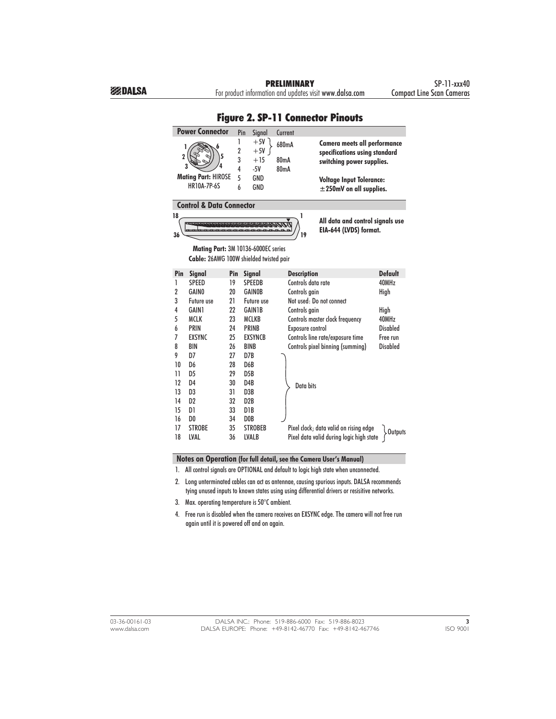| riyuru <i>l</i> .<br>LUIIIICLIUI FIIIUUIS                                         |                                                                                |                               |                                  |                       |                                                                                            |                 |
|-----------------------------------------------------------------------------------|--------------------------------------------------------------------------------|-------------------------------|----------------------------------|-----------------------|--------------------------------------------------------------------------------------------|-----------------|
|                                                                                   | <b>Power Connector</b>                                                         |                               | Pin<br>Signal                    | Current               |                                                                                            |                 |
| 1<br>$\overline{2}$<br>3                                                          |                                                                                | 1<br>$\overline{2}$<br>3<br>4 | $+5V$<br>$+5V$<br>$+15$<br>$-5V$ | 680mA<br>80mA<br>80mA | Camera meets all performance<br>specifications using standard<br>switching power supplies. |                 |
|                                                                                   | <b>Mating Part: HIROSE</b><br><b>HR10A-7P-6S</b>                               | 5<br>6                        | GND<br>GND                       |                       | <b>Voltage Input Tolerance:</b><br>$\pm$ 250mV on all supplies.                            |                 |
|                                                                                   | <b>Control &amp; Data Connector</b>                                            |                               |                                  |                       |                                                                                            |                 |
| 18<br>1<br>All data and control signals use<br>EIA-644 (LVDS) format.<br>36<br>19 |                                                                                |                               |                                  |                       |                                                                                            |                 |
|                                                                                   | Mating Part: 3M 10136-6000EC series<br>Cable: 26AWG 100W shielded twisted pair |                               |                                  |                       |                                                                                            |                 |
| Pin                                                                               | <b>Signal</b>                                                                  | Pin                           | <b>Signal</b>                    | <b>Description</b>    |                                                                                            | <b>Default</b>  |
| 1                                                                                 | <b>SPFFD</b>                                                                   | 19                            | <b>SPEEDB</b>                    | Controls data rate    |                                                                                            | 40MHz           |
| $\overline{2}$                                                                    | <b>GAINO</b>                                                                   | 20                            | <b>GAINOB</b>                    | Controls gain         |                                                                                            | High            |
| 3                                                                                 | Future use                                                                     | 21                            | Future use                       |                       | Not used: Do not connect                                                                   |                 |
| 4                                                                                 | <b>GAIN1</b>                                                                   | 22                            | <b>GAIN1B</b>                    | Controls gain         |                                                                                            | High            |
| 5                                                                                 | <b>MCLK</b>                                                                    | 23                            | <b>MCLKB</b>                     |                       | Controls master clock frequency                                                            | 40MHz           |
| 6                                                                                 | <b>PRIN</b>                                                                    | 24                            | <b>PRINB</b>                     | Exposure control      |                                                                                            | <b>Disabled</b> |
| 7                                                                                 | <b>EXSYNC</b>                                                                  | 25                            | <b>EXSYNCB</b>                   |                       | Controls line rate/exposure time                                                           | Free run        |
| 8                                                                                 | <b>BIN</b>                                                                     | 26                            | <b>BINB</b>                      |                       | Controls pixel binning (summing)                                                           | <b>Disabled</b> |
| 9<br>10                                                                           | D7<br>D6                                                                       | 27                            | D7B<br>D6B                       |                       |                                                                                            |                 |
| 11                                                                                | D <sub>5</sub>                                                                 | 28<br>29                      | D <sub>5</sub> B                 |                       |                                                                                            |                 |
| 12                                                                                | D <sub>4</sub>                                                                 | 30                            | D <sub>4</sub> B                 |                       |                                                                                            |                 |
| 13                                                                                | D3                                                                             | 31                            | D3B                              | Data bits             |                                                                                            |                 |
| 14                                                                                | D <sub>2</sub>                                                                 | 32                            | D <sub>2</sub> B                 |                       |                                                                                            |                 |
| 15                                                                                | D1                                                                             | 33                            | D1B                              |                       |                                                                                            |                 |
| 16                                                                                | D <sub>0</sub>                                                                 | 34                            | D <sub>0</sub> B                 |                       |                                                                                            |                 |
| 17                                                                                | <b>STROBE</b>                                                                  | 35                            | <b>STROBEB</b>                   |                       | Pixel clock; data valid on rising edge                                                     |                 |
| 18                                                                                | LVAL                                                                           | 36                            | <b>LVALB</b>                     |                       | Pixel data valid during logic high state                                                   | Outputs         |

### Figure 2. SP-11 Connector Pinouts

**Notes on Operation (for full detail, see the Camera User's Manual)**

1. All control signals are OPTIONAL and default to logic high state when unconnected.

2. Long unterminated cables can act as antennae, causing spurious inputs. DALSA recommends tying unused inputs to known states using using differential drivers or resisitive networks.

- 3. Max. operating temperature is 50°C ambient.
- 4. Free run is disabled when the camera receives an EXSYNC edge. The camera will not free run again until it is powered off and on again.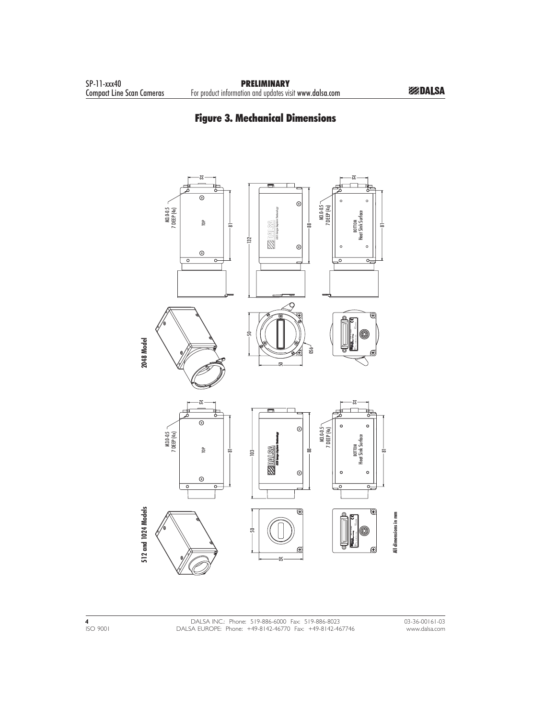### Figure 3. Mechanical Dimensions

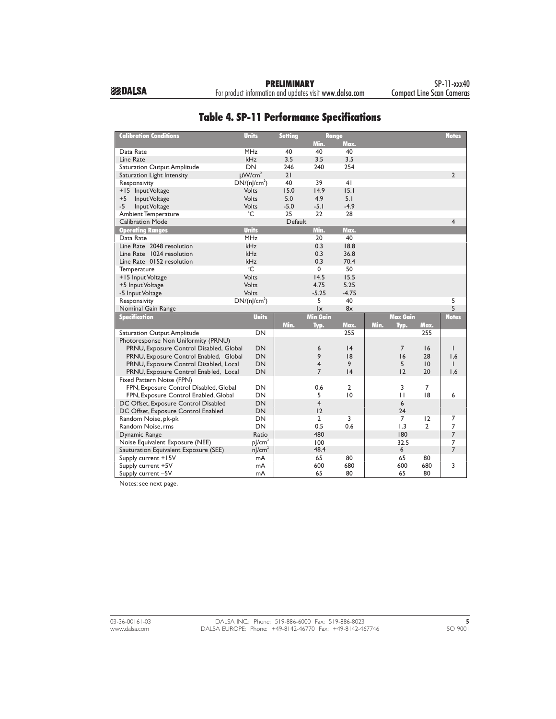For product information and updates visit www.dalsa.com

| <b>Calibration Conditions</b>           | <b>Units</b>            | <b>Setting</b> | <b>Range</b>           |                |      |                 |                | <b>Notes</b>   |
|-----------------------------------------|-------------------------|----------------|------------------------|----------------|------|-----------------|----------------|----------------|
|                                         |                         |                | Min.                   | Max.           |      |                 |                |                |
| Data Rate                               | <b>MHz</b>              | 40             | 40                     | 40             |      |                 |                |                |
| Line Rate                               | kHz                     | 3.5            | 3.5                    | 3.5            |      |                 |                |                |
| Saturation Output Amplitude             | DN                      | 246            | 240                    | 254            |      |                 |                |                |
| Saturation Light Intensity              | $\mu$ W/cm <sup>2</sup> | 21             |                        |                |      |                 |                | $\overline{2}$ |
| Responsivity                            | $DN/(n]/cm^2)$          | 40             | 39                     | 41             |      |                 |                |                |
| +15 Input Voltage                       | Volts                   | 15.0           | 14.9                   | 15.1           |      |                 |                |                |
| Input Voltage<br>$+5$                   | Volts                   | 5.0            | 4.9                    | 5.1            |      |                 |                |                |
| -5<br>Input Voltage                     | <b>Volts</b>            | $-5.0$         | $-5.1$                 | $-4.9$         |      |                 |                |                |
| Ambient Temperature                     | °C                      | 25             | 22                     | 28             |      |                 |                |                |
| <b>Calibration Mode</b>                 |                         | Default        |                        |                |      |                 |                | $\overline{4}$ |
| <b>Operating Ranges</b>                 | <b>Units</b>            |                | Min.                   | Max.           |      |                 |                |                |
| Data Rate                               | <b>MHz</b>              |                | 20                     | 40             |      |                 |                |                |
| Line Rate 2048 resolution               | kHz                     |                | 0.3                    | 18.8           |      |                 |                |                |
| Line Rate 1024 resolution               | <b>kHz</b>              |                | 0.3                    | 36.8           |      |                 |                |                |
| Line Rate 0152 resolution               | kHz                     |                | 0.3                    | 70.4           |      |                 |                |                |
| Temperature                             | $^{\circ}$ C            |                | $\mathbf 0$            | 50             |      |                 |                |                |
| +15 Input Voltage                       | Volts                   |                | 14.5                   | 15.5           |      |                 |                |                |
| +5 Input Voltage                        | Volts                   |                | 4.75                   | 5.25           |      |                 |                |                |
| -5 Input Voltage                        | Volts                   |                | $-5.25$                | $-4.75$        |      |                 |                |                |
| Responsivity                            | $DN/(n]/cm^2)$          |                | 5                      | 40             |      |                 |                | 5              |
| Nominal Gain Range                      |                         |                | $\mathsf{I}\mathsf{x}$ | 8x             |      |                 |                | 5              |
| <b>Specification</b>                    | <b>Units</b>            |                | <b>Min Gain</b>        |                |      | <b>Max Gain</b> |                | <b>Notes</b>   |
|                                         |                         | Min.           | Typ.                   | Max.           | Min. | Typ.            | Max.           |                |
| Saturation Output Amplitude             | <b>DN</b>               |                |                        | 255            |      |                 | 255            |                |
| Photoresponse Non Uniformity (PRNU)     |                         |                |                        |                |      |                 |                |                |
| PRNU, Exposure Control Disabled, Global | <b>DN</b>               |                | 6                      | 4              |      | $\overline{7}$  | 16             | $\mathbf{I}$   |
| PRNU, Exposure Control Enabled, Global  | <b>DN</b>               |                | 9                      | 18             |      | 16              | 28             | 1,6            |
| PRNU, Exposure Control Disabled, Local  | DN                      |                | $\overline{4}$         | 9              |      | 5               | 10             | $\mathbf{I}$   |
| PRNU, Exposure Control Enabled, Local   | DN                      |                | $\overline{7}$         | 4              |      | 12              | 20             | 1,6            |
| Fixed Pattern Noise (FPN)               |                         |                |                        |                |      |                 |                |                |
| FPN, Exposure Control Disabled, Global  | <b>DN</b>               |                | 0.6                    | $\overline{2}$ |      | 3               | 7              |                |
| FPN, Exposure Control Enabled, Global   | <b>DN</b>               |                | 5                      | 10             |      | $\mathbf{H}$    | 8              | 6              |
| DC Offset, Exposure Control Disabled    | <b>DN</b>               |                | $\overline{4}$         |                |      | 6               |                |                |
| DC Offset, Exposure Control Enabled     | DN                      |                | 12                     |                |      | 24              |                |                |
| Random Noise, pk-pk                     | <b>DN</b>               |                | $\overline{2}$         | 3              |      | $\overline{7}$  | 12             | 7              |
| Random Noise, rms                       | <b>DN</b>               |                | 0.5                    | 0.6            |      | 1.3             | $\overline{2}$ | 7              |
| Dynamic Range                           | Ratio                   |                | 480                    |                |      | 180             |                | $\overline{7}$ |
| Noise Equivalent Exposure (NEE)         | $p$ /cm <sup>2</sup>    |                | 100                    |                |      | 32.5            |                | $\overline{7}$ |
| Sauturation Equivalent Exposure (SEE)   | $n$ /cm <sup>2</sup>    |                | 48.4                   |                |      | 6               |                | $\overline{7}$ |
| Supply current +15V                     | mA                      |                | 65                     | 80             |      | 65              | 80             |                |
| Supply current +5V                      | mA                      |                | 600                    | 680            |      | 600             | 680            | 3              |
| Supply current -5V                      | mA                      |                | 65                     | 80             |      | 65              | 80             |                |

### Table 4. SP-11 Performance Specifications

Notes: see next page.